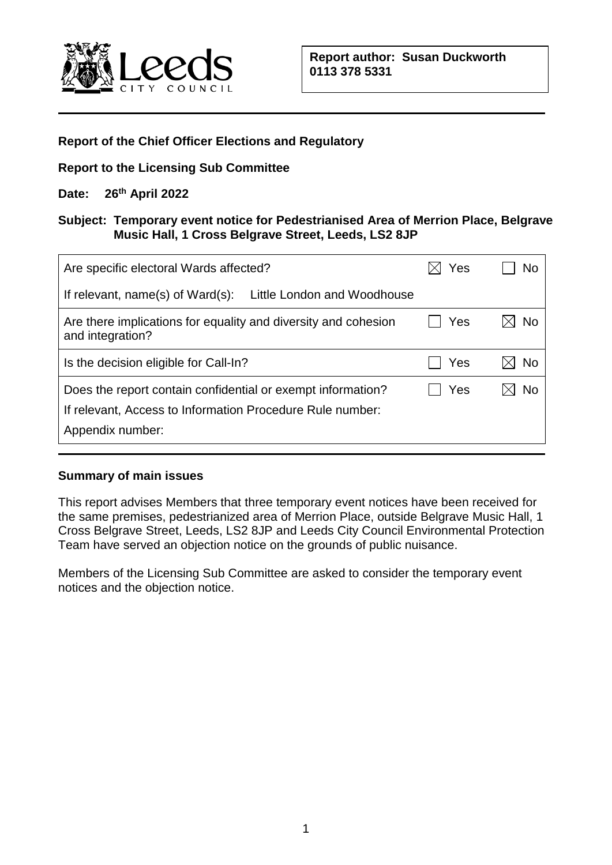

### **Report of the Chief Officer Elections and Regulatory**

### **Report to the Licensing Sub Committee**

## **Date: 26th April 2022**

### **Subject: Temporary event notice for Pedestrianised Area of Merrion Place, Belgrave Music Hall, 1 Cross Belgrave Street, Leeds, LS2 8JP**

| Are specific electoral Wards affected?                                                                                                       | Yes | No |
|----------------------------------------------------------------------------------------------------------------------------------------------|-----|----|
| If relevant, name(s) of Ward(s): Little London and Woodhouse                                                                                 |     |    |
| Are there implications for equality and diversity and cohesion<br>and integration?                                                           | Yes | No |
| Is the decision eligible for Call-In?                                                                                                        | Yes | No |
| Does the report contain confidential or exempt information?<br>If relevant, Access to Information Procedure Rule number:<br>Appendix number: | Yes | No |

### **Summary of main issues**

This report advises Members that three temporary event notices have been received for the same premises, pedestrianized area of Merrion Place, outside Belgrave Music Hall, 1 Cross Belgrave Street, Leeds, LS2 8JP and Leeds City Council Environmental Protection Team have served an objection notice on the grounds of public nuisance.

Members of the Licensing Sub Committee are asked to consider the temporary event notices and the objection notice.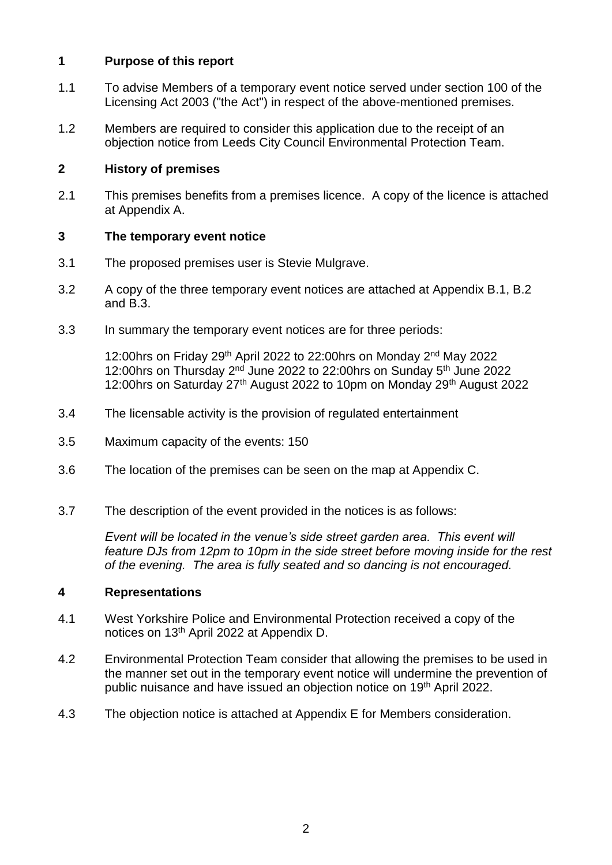## **1 Purpose of this report**

- 1.1 To advise Members of a temporary event notice served under section 100 of the Licensing Act 2003 ("the Act") in respect of the above-mentioned premises.
- 1.2 Members are required to consider this application due to the receipt of an objection notice from Leeds City Council Environmental Protection Team.

### **2 History of premises**

2.1 This premises benefits from a premises licence. A copy of the licence is attached at Appendix A.

### **3 The temporary event notice**

- 3.1 The proposed premises user is Stevie Mulgrave.
- 3.2 A copy of the three temporary event notices are attached at Appendix B.1, B.2 and B.3.
- 3.3 In summary the temporary event notices are for three periods:

12:00hrs on Friday 29<sup>th</sup> April 2022 to 22:00hrs on Monday 2<sup>nd</sup> May 2022 12:00hrs on Thursday 2<sup>nd</sup> June 2022 to 22:00hrs on Sunday 5<sup>th</sup> June 2022 12:00hrs on Saturday  $27<sup>th</sup>$  August 2022 to 10pm on Monday 29<sup>th</sup> August 2022

- 3.4 The licensable activity is the provision of regulated entertainment
- 3.5 Maximum capacity of the events: 150
- 3.6 The location of the premises can be seen on the map at Appendix C.
- 3.7 The description of the event provided in the notices is as follows:

*Event will be located in the venue's side street garden area. This event will feature DJs from 12pm to 10pm in the side street before moving inside for the rest of the evening. The area is fully seated and so dancing is not encouraged.*

### **4 Representations**

- 4.1 West Yorkshire Police and Environmental Protection received a copy of the notices on 13th April 2022 at Appendix D.
- 4.2 Environmental Protection Team consider that allowing the premises to be used in the manner set out in the temporary event notice will undermine the prevention of public nuisance and have issued an objection notice on 19<sup>th</sup> April 2022.
- 4.3 The objection notice is attached at Appendix E for Members consideration.